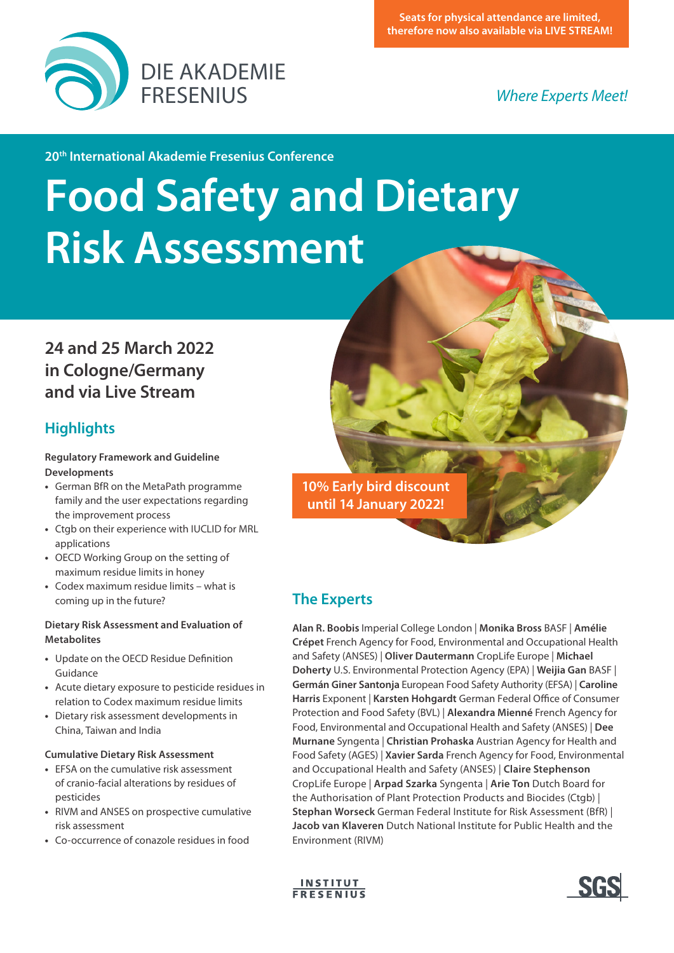

**20th International Akademie Fresenius Conference**

# **Food Safety and Dietary Risk Assessment**

# **24 and 25 March 2022 in Cologne/Germany and via Live Stream**

## **Highlights**

**Regulatory Framework and Guideline Developments**

- **•** German BfR on the MetaPath programme family and the user expectations regarding the improvement process
- **•** Ctgb on their experience with IUCLID for MRL applications
- **•** OECD Working Group on the setting of maximum residue limits in honey
- **•** Codex maximum residue limits what is coming up in the future?

#### **Dietary Risk Assessment and Evaluation of Metabolites**

- **•** Update on the OECD Residue Definition Guidance
- **•** Acute dietary exposure to pesticide residues in relation to Codex maximum residue limits
- **•** Dietary risk assessment developments in China, Taiwan and India

#### **Cumulative Dietary Risk Assessment**

- **•** EFSA on the cumulative risk assessment of cranio-facial alterations by residues of pesticides
- **•** RIVM and ANSES on prospective cumulative risk assessment
- **•** Co-occurrence of conazole residues in food

**10% Early bird discount until 14 January 2022!**

# **The Experts**

**Alan R. Boobis** Imperial College London | **Monika Bross** BASF | **Amélie Crépet** French Agency for Food, Environmental and Occupational Health and Safety (ANSES) | **Oliver Dautermann** CropLife Europe | **Michael Doherty** U.S. Environmental Protection Agency (EPA) | **Weijia Gan** BASF | **Germán Giner Santonja** European Food Safety Authority (EFSA) | **Caroline Harris** Exponent | **Karsten Hohgardt** German Federal Office of Consumer Protection and Food Safety (BVL) | **Alexandra Mienné** French Agency for Food, Environmental and Occupational Health and Safety (ANSES) | **Dee Murnane** Syngenta | **Christian Prohaska** Austrian Agency for Health and Food Safety (AGES) | **Xavier Sarda** French Agency for Food, Environmental and Occupational Health and Safety (ANSES) | **Claire Stephenson** CropLife Europe | **Arpad Szarka** Syngenta | **Arie Ton** Dutch Board for the Authorisation of Plant Protection Products and Biocides (Ctgb) | **Stephan Worseck** German Federal Institute for Risk Assessment (BfR) | **Jacob van Klaveren** Dutch National Institute for Public Health and the Environment (RIVM)



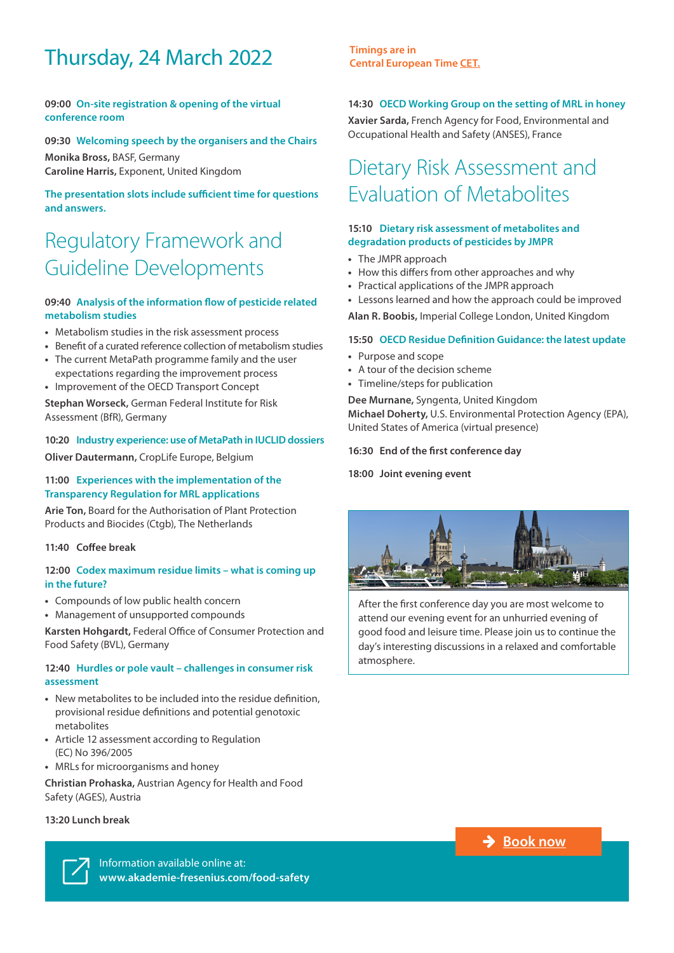# Thursday, 24 March 2022 **Timings are in**

#### **09:00 On-site registration & opening of the virtual conference room**

#### **09:30 Welcoming speech by the organisers and the Chairs**

**Monika Bross,** BASF, Germany **Caroline Harris,** Exponent, United Kingdom

**The presentation slots include sufficient time for questions and answers.**

# Regulatory Framework and Guideline Developments

#### **09:40 Analysis of the information flow of pesticide related metabolism studies**

- **•** Metabolism studies in the risk assessment process
- **•** Benefit of a curated reference collection of metabolism studies
- **•** The current MetaPath programme family and the user expectations regarding the improvement process
- **•** Improvement of the OECD Transport Concept

**Stephan Worseck,** German Federal Institute for Risk Assessment (BfR), Germany

#### **10:20 Industry experience: use of MetaPath in IUCLID dossiers**

**Oliver Dautermann,** CropLife Europe, Belgium

#### **11:00 Experiences with the implementation of the Transparency Regulation for MRL applications**

**Arie Ton,** Board for the Authorisation of Plant Protection Products and Biocides (Ctgb), The Netherlands

**11:40 Coffee break**

#### **12:00 Codex maximum residue limits – what is coming up in the future?**

- **•** Compounds of low public health concern
- **•** Management of unsupported compounds

**Karsten Hohgardt,** Federal Office of Consumer Protection and Food Safety (BVL), Germany

#### **12:40 Hurdles or pole vault – challenges in consumer risk assessment**

- **•** New metabolites to be included into the residue definition, provisional residue definitions and potential genotoxic metabolites
- **•** Article 12 assessment according to Regulation (EC) No 396/2005
- **•** MRLs for microorganisms and honey

**Christian Prohaska,** Austrian Agency for Health and Food Safety (AGES), Austria

#### **13:20 Lunch break**

**[Central European Time CET.](https://www.timeanddate.com/worldclock/fixedtime.html?msg=20th+International+Akademie+Fresenius+Conference+%22Food+Safety+and+Dietary+Risk+Assessment%22&iso=20220324T09&p1=311&ah=7&am=30)**

#### **14:30 OECD Working Group on the setting of MRL in honey**

**Xavier Sarda,** French Agency for Food, Environmental and Occupational Health and Safety (ANSES), France

# Dietary Risk Assessment and Evaluation of Metabolites

#### **15:10 Dietary risk assessment of metabolites and degradation products of pesticides by JMPR**

- **•** The JMPR approach
- **•** How this differs from other approaches and why
- **•** Practical applications of the JMPR approach
- **•** Lessons learned and how the approach could be improved

**Alan R. Boobis,** Imperial College London, United Kingdom

#### **15:50 OECD Residue Definition Guidance: the latest update**

- **•** Purpose and scope
- **•** A tour of the decision scheme
- **•** Timeline/steps for publication

**Dee Murnane,** Syngenta, United Kingdom **Michael Doherty,** U.S. Environmental Protection Agency (EPA), United States of America (virtual presence)

#### **16:30 End of the first conference day**

**18:00 Joint evening event**



After the first conference day you are most welcome to attend our evening event for an unhurried evening of good food and leisure time. Please join us to continue the day's interesting discussions in a relaxed and comfortable atmosphere.

**→ [Book now](http://www.akademie-fresenius.com/food-safety)** 

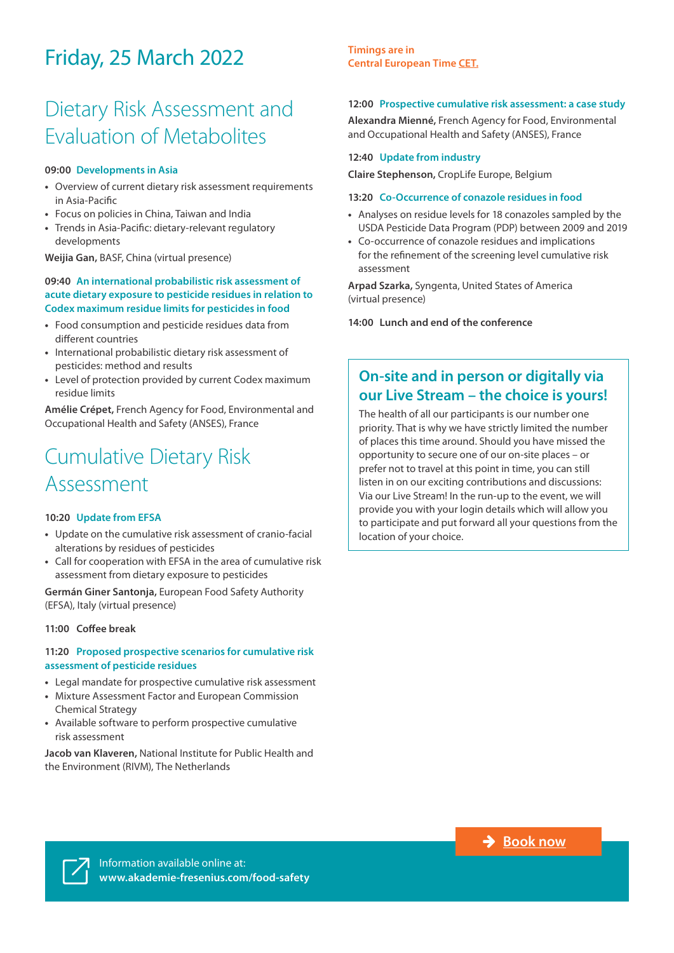# Friday, 25 March 2022

# Dietary Risk Assessment and Evaluation of Metabolites

#### **09:00 Developments in Asia**

- **•** Overview of current dietary risk assessment requirements in Asia-Pacific
- **•** Focus on policies in China, Taiwan and India
- **•** Trends in Asia-Pacific: dietary-relevant regulatory developments

**Weijia Gan,** BASF, China (virtual presence)

#### **09:40 An international probabilistic risk assessment of acute dietary exposure to pesticide residues in relation to Codex maximum residue limits for pesticides in food**

- **•** Food consumption and pesticide residues data from different countries
- **•** International probabilistic dietary risk assessment of pesticides: method and results
- **•** Level of protection provided by current Codex maximum residue limits

**Amélie Crépet,** French Agency for Food, Environmental and Occupational Health and Safety (ANSES), France

# Cumulative Dietary Risk Assessment

#### **10:20 Update from EFSA**

- **•** Update on the cumulative risk assessment of cranio-facial alterations by residues of pesticides
- **•** Call for cooperation with EFSA in the area of cumulative risk assessment from dietary exposure to pesticides

**Germán Giner Santonja,** European Food Safety Authority (EFSA), Italy (virtual presence)

#### **11:00 Coffee break**

#### **11:20 Proposed prospective scenarios for cumulative risk assessment of pesticide residues**

- **•** Legal mandate for prospective cumulative risk assessment
- **•** Mixture Assessment Factor and European Commission Chemical Strategy
- **•** Available software to perform prospective cumulative risk assessment

**Jacob van Klaveren,** National Institute for Public Health and the Environment (RIVM), The Netherlands

#### **Timings are in [Central European Time CET.](https://www.timeanddate.com/worldclock/fixedtime.html?msg=20th+International+Akademie+Fresenius+Conference+%22Food+Safety+and+Dietary+Risk+Assessment%22&iso=20220325T09&p1=311&ah=5)**

#### **12:00 Prospective cumulative risk assessment: a case study**

**Alexandra Mienné,** French Agency for Food, Environmental and Occupational Health and Safety (ANSES), France

#### **12:40 Update from industry**

**Claire Stephenson,** CropLife Europe, Belgium

#### **13:20 Co-Occurrence of conazole residues in food**

- **•** Analyses on residue levels for 18 conazoles sampled by the USDA Pesticide Data Program (PDP) between 2009 and 2019
- **•** Co-occurrence of conazole residues and implications for the refinement of the screening level cumulative risk assessment

**Arpad Szarka,** Syngenta, United States of America (virtual presence)

**14:00 Lunch and end of the conference**

## **On-site and in person or digitally via our Live Stream – the choice is yours!**

The health of all our participants is our number one priority. That is why we have strictly limited the number of places this time around. Should you have missed the opportunity to secure one of our on-site places – or prefer not to travel at this point in time, you can still listen in on our exciting contributions and discussions: Via our Live Stream! In the run-up to the event, we will provide you with your login details which will allow you to participate and put forward all your questions from the location of your choice.